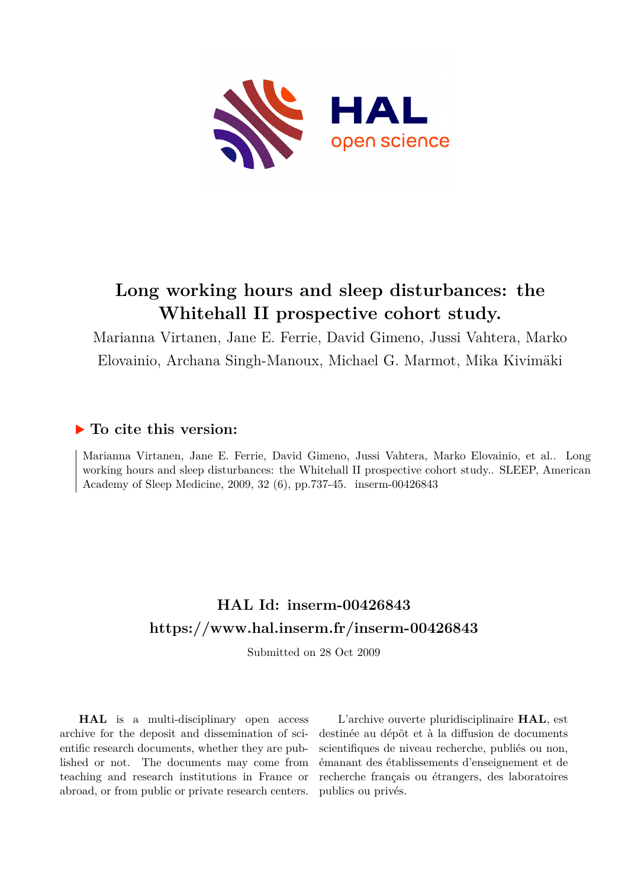

# **Long working hours and sleep disturbances: the Whitehall II prospective cohort study.**

Marianna Virtanen, Jane E. Ferrie, David Gimeno, Jussi Vahtera, Marko Elovainio, Archana Singh-Manoux, Michael G. Marmot, Mika Kivimäki

# **To cite this version:**

Marianna Virtanen, Jane E. Ferrie, David Gimeno, Jussi Vahtera, Marko Elovainio, et al.. Long working hours and sleep disturbances: the Whitehall II prospective cohort study.. SLEEP, American Academy of Sleep Medicine, 2009, 32 (6), pp.737-45. inserm-00426843

# **HAL Id: inserm-00426843 <https://www.hal.inserm.fr/inserm-00426843>**

Submitted on 28 Oct 2009

**HAL** is a multi-disciplinary open access archive for the deposit and dissemination of scientific research documents, whether they are published or not. The documents may come from teaching and research institutions in France or abroad, or from public or private research centers.

L'archive ouverte pluridisciplinaire **HAL**, est destinée au dépôt et à la diffusion de documents scientifiques de niveau recherche, publiés ou non, émanant des établissements d'enseignement et de recherche français ou étrangers, des laboratoires publics ou privés.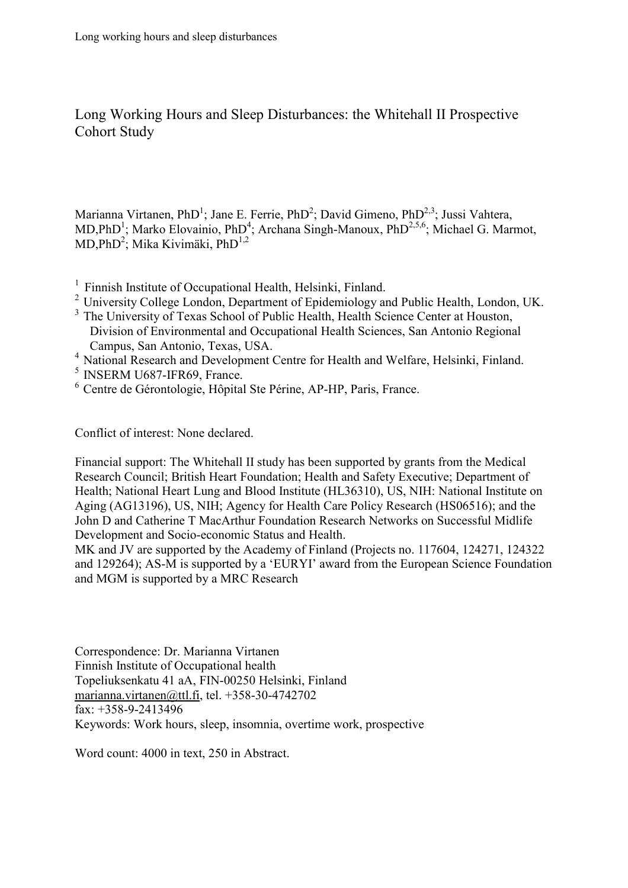Long Working Hours and Sleep Disturbances: the Whitehall II Prospective Cohort Study

Marianna Virtanen, PhD<sup>1</sup>; Jane E. Ferrie, PhD<sup>2</sup>; David Gimeno, PhD<sup>2,3</sup>; Jussi Vahtera, MD,PhD<sup>1</sup>; Marko Elovainio, PhD<sup>4</sup>; Archana Singh-Manoux, PhD<sup>2,5,6</sup>; Michael G. Marmot,  $MD, PhD<sup>2</sup>$ ; Mika Kivimäki, Ph $D<sup>1,2</sup>$ 

- $1$  Finnish Institute of Occupational Health, Helsinki, Finland.
- <sup>2</sup> University College London, Department of Epidemiology and Public Health, London, UK.
- <sup>3</sup> The University of Texas School of Public Health, Health Science Center at Houston, Division of Environmental and Occupational Health Sciences, San Antonio Regional Campus, San Antonio, Texas, USA.
- <sup>4</sup> National Research and Development Centre for Health and Welfare, Helsinki, Finland.
- $<sup>5</sup>$  INSERM U687-IFR69, France.</sup>
- <sup>6</sup> Centre de Gérontologie, Hôpital Ste Périne, AP-HP, Paris, France.

Conflict of interest: None declared.

Financial support: The Whitehall II study has been supported by grants from the Medical Research Council; British Heart Foundation; Health and Safety Executive; Department of Health; National Heart Lung and Blood Institute (HL36310), US, NIH: National Institute on Aging (AG13196), US, NIH; Agency for Health Care Policy Research (HS06516); and the John D and Catherine T MacArthur Foundation Research Networks on Successful Midlife Development and Socio-economic Status and Health.

MK and JV are supported by the Academy of Finland (Projects no. 117604, 124271, 124322 and 129264); AS-M is supported by a 'EURYI' award from the European Science Foundation and MGM is supported by a MRC Research

Correspondence: Dr. Marianna Virtanen Finnish Institute of Occupational health Topeliuksenkatu 41 aA, FIN-00250 Helsinki, Finland marianna.virtanen@ttl.fi, tel. +358-30-4742702 fax: +358-9-2413496 Keywords: Work hours, sleep, insomnia, overtime work, prospective

Word count: 4000 in text, 250 in Abstract.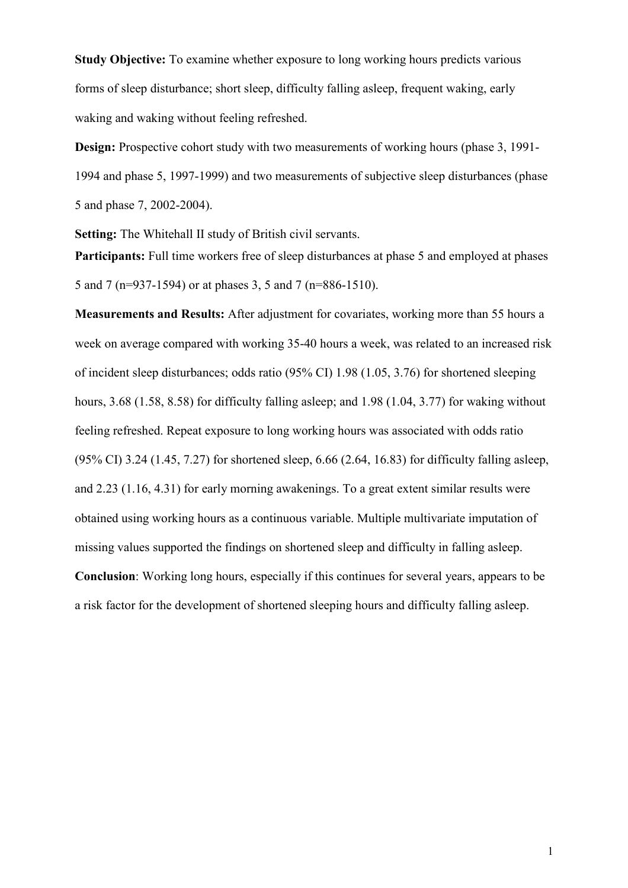**Study Objective:** To examine whether exposure to long working hours predicts various forms of sleep disturbance; short sleep, difficulty falling asleep, frequent waking, early waking and waking without feeling refreshed.

**Design:** Prospective cohort study with two measurements of working hours (phase 3, 1991- 1994 and phase 5, 1997-1999) and two measurements of subjective sleep disturbances (phase 5 and phase 7, 2002-2004).

**Setting:** The Whitehall II study of British civil servants.

Participants: Full time workers free of sleep disturbances at phase 5 and employed at phases 5 and 7 (n=937-1594) or at phases 3, 5 and 7 (n=886-1510).

**Measurements and Results:** After adjustment for covariates, working more than 55 hours a week on average compared with working 35-40 hours a week, was related to an increased risk of incident sleep disturbances; odds ratio (95% CI) 1.98 (1.05, 3.76) for shortened sleeping hours, 3.68 (1.58, 8.58) for difficulty falling asleep; and 1.98 (1.04, 3.77) for waking without feeling refreshed. Repeat exposure to long working hours was associated with odds ratio  $(95\% \text{ CI})$  3.24 (1.45, 7.27) for shortened sleep, 6.66 (2.64, 16.83) for difficulty falling asleep, and 2.23 (1.16, 4.31) for early morning awakenings. To a great extent similar results were obtained using working hours as a continuous variable. Multiple multivariate imputation of missing values supported the findings on shortened sleep and difficulty in falling asleep. **Conclusion**: Working long hours, especially if this continues for several years, appears to be

a risk factor for the development of shortened sleeping hours and difficulty falling asleep.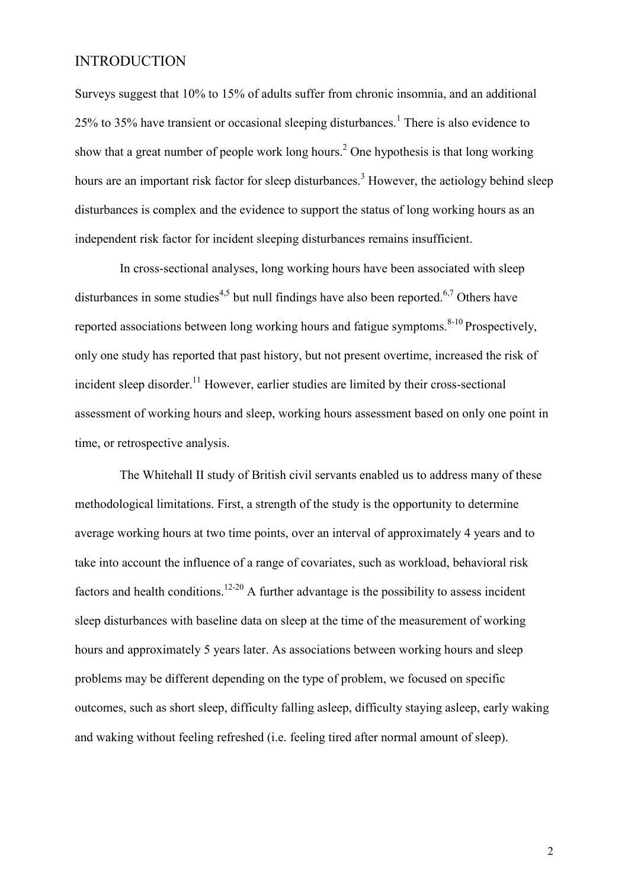# **INTRODUCTION**

Surveys suggest that 10% to 15% of adults suffer from chronic insomnia, and an additional 25% to 35% have transient or occasional sleeping disturbances.<sup>1</sup> There is also evidence to show that a great number of people work long hours.<sup>2</sup> One hypothesis is that long working hours are an important risk factor for sleep disturbances.<sup>3</sup> However, the aetiology behind sleep disturbances is complex and the evidence to support the status of long working hours as an independent risk factor for incident sleeping disturbances remains insufficient.

 In cross-sectional analyses, long working hours have been associated with sleep disturbances in some studies<sup>4,5</sup> but null findings have also been reported.<sup>6,7</sup> Others have reported associations between long working hours and fatigue symptoms. $8-10$  Prospectively, only one study has reported that past history, but not present overtime, increased the risk of incident sleep disorder.<sup>11</sup> However, earlier studies are limited by their cross-sectional assessment of working hours and sleep, working hours assessment based on only one point in time, or retrospective analysis.

 The Whitehall II study of British civil servants enabled us to address many of these methodological limitations. First, a strength of the study is the opportunity to determine average working hours at two time points, over an interval of approximately 4 years and to take into account the influence of a range of covariates, such as workload, behavioral risk factors and health conditions.<sup>12-20</sup> A further advantage is the possibility to assess incident sleep disturbances with baseline data on sleep at the time of the measurement of working hours and approximately 5 years later. As associations between working hours and sleep problems may be different depending on the type of problem, we focused on specific outcomes, such as short sleep, difficulty falling asleep, difficulty staying asleep, early waking and waking without feeling refreshed (i.e. feeling tired after normal amount of sleep).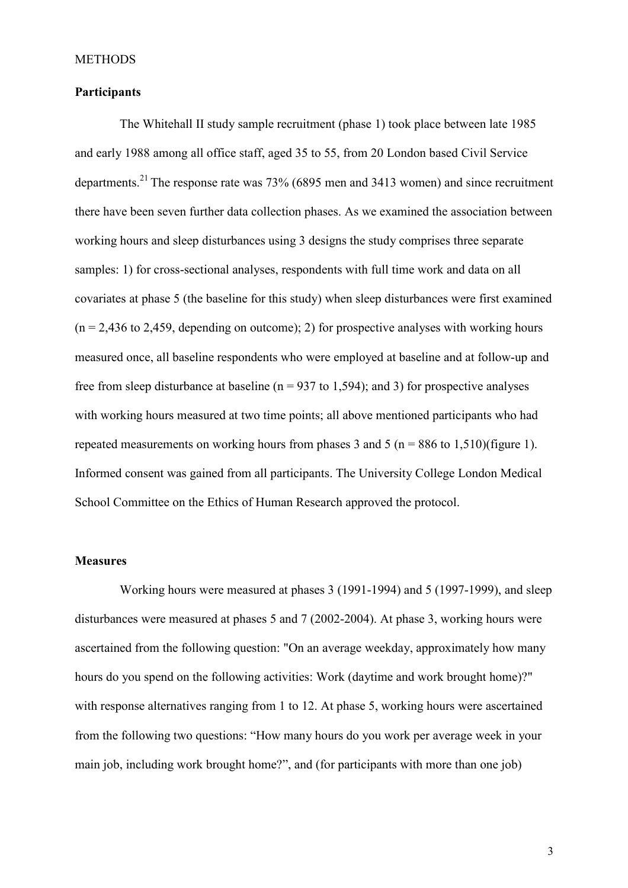#### **METHODS**

### **Participants**

 The Whitehall II study sample recruitment (phase 1) took place between late 1985 and early 1988 among all office staff, aged 35 to 55, from 20 London based Civil Service departments.<sup>21</sup> The response rate was  $73\%$  (6895 men and 3413 women) and since recruitment there have been seven further data collection phases. As we examined the association between working hours and sleep disturbances using 3 designs the study comprises three separate samples: 1) for cross-sectional analyses, respondents with full time work and data on all covariates at phase 5 (the baseline for this study) when sleep disturbances were first examined  $(n = 2,436 \text{ to } 2,459)$ , depending on outcome); 2) for prospective analyses with working hours measured once, all baseline respondents who were employed at baseline and at follow-up and free from sleep disturbance at baseline ( $n = 937$  to 1,594); and 3) for prospective analyses with working hours measured at two time points; all above mentioned participants who had repeated measurements on working hours from phases 3 and 5 ( $n = 886$  to 1,510)(figure 1). Informed consent was gained from all participants. The University College London Medical School Committee on the Ethics of Human Research approved the protocol.

#### **Measures**

 Working hours were measured at phases 3 (1991-1994) and 5 (1997-1999), and sleep disturbances were measured at phases 5 and 7 (2002-2004). At phase 3, working hours were ascertained from the following question: "On an average weekday, approximately how many hours do you spend on the following activities: Work (daytime and work brought home)?" with response alternatives ranging from 1 to 12. At phase 5, working hours were ascertained from the following two questions: "How many hours do you work per average week in your main job, including work brought home?", and (for participants with more than one job)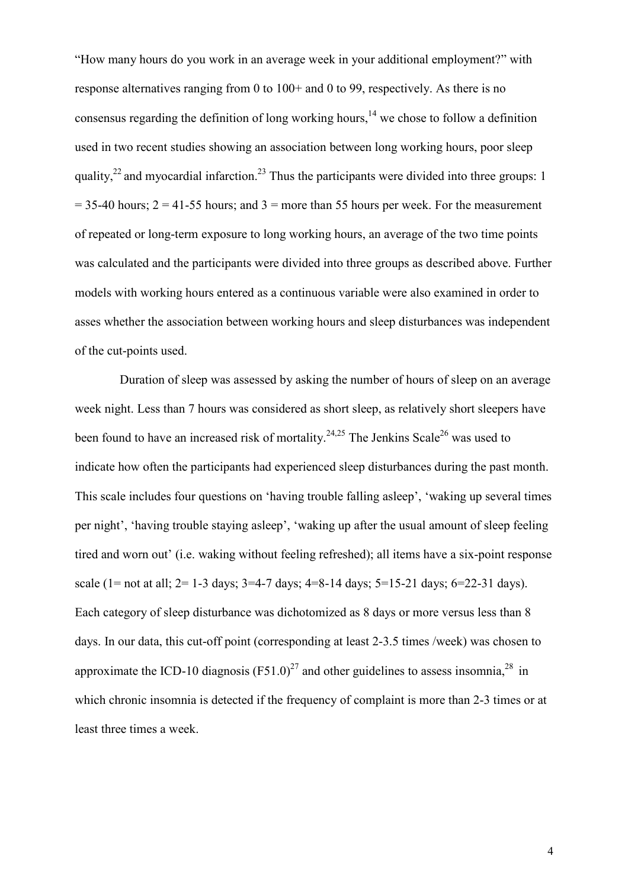"How many hours do you work in an average week in your additional employment?" with response alternatives ranging from 0 to 100+ and 0 to 99, respectively. As there is no consensus regarding the definition of long working hours,<sup>14</sup> we chose to follow a definition used in two recent studies showing an association between long working hours, poor sleep quality,<sup>22</sup> and myocardial infarction.<sup>23</sup> Thus the participants were divided into three groups: 1  $= 35-40$  hours;  $2 = 41-55$  hours; and  $3 =$  more than 55 hours per week. For the measurement of repeated or long-term exposure to long working hours, an average of the two time points was calculated and the participants were divided into three groups as described above. Further models with working hours entered as a continuous variable were also examined in order to asses whether the association between working hours and sleep disturbances was independent of the cut-points used.

Duration of sleep was assessed by asking the number of hours of sleep on an average week night. Less than 7 hours was considered as short sleep, as relatively short sleepers have been found to have an increased risk of mortality.<sup>24,25</sup> The Jenkins Scale<sup>26</sup> was used to indicate how often the participants had experienced sleep disturbances during the past month. This scale includes four questions on 'having trouble falling asleep', 'waking up several times per night', 'having trouble staying asleep', 'waking up after the usual amount of sleep feeling tired and worn out' (i.e. waking without feeling refreshed); all items have a six-point response scale (1= not at all; 2= 1-3 days; 3=4-7 days; 4=8-14 days; 5=15-21 days; 6=22-31 days). Each category of sleep disturbance was dichotomized as 8 days or more versus less than 8 days. In our data, this cut-off point (corresponding at least 2-3.5 times /week) was chosen to approximate the ICD-10 diagnosis  $(F51.0)^{27}$  and other guidelines to assess insomnia,<sup>28</sup> in which chronic insomnia is detected if the frequency of complaint is more than 2-3 times or at least three times a week.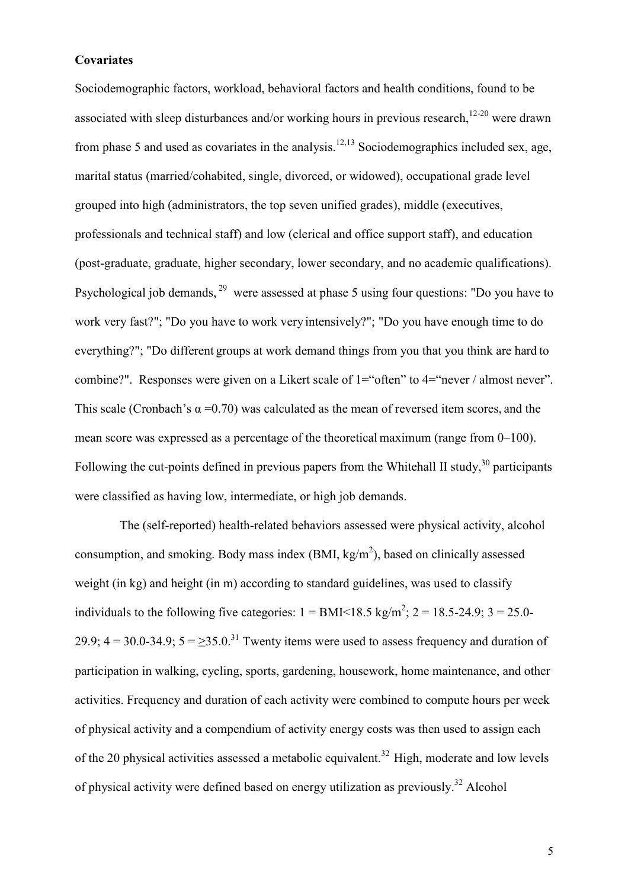#### **Covariates**

Sociodemographic factors, workload, behavioral factors and health conditions, found to be associated with sleep disturbances and/or working hours in previous research, $12-20$  were drawn from phase 5 and used as covariates in the analysis.<sup>12,13</sup> Sociodemographics included sex, age, marital status (married/cohabited, single, divorced, or widowed), occupational grade level grouped into high (administrators, the top seven unified grades), middle (executives, professionals and technical staff) and low (clerical and office support staff), and education (post-graduate, graduate, higher secondary, lower secondary, and no academic qualifications). Psychological job demands,<sup>29</sup> were assessed at phase 5 using four questions: "Do you have to work very fast?"; "Do you have to work very intensively?"; "Do you have enough time to do everything?"; "Do different groups at work demand things from you that you think are hard to combine?". Responses were given on a Likert scale of 1="often" to 4="never / almost never". This scale (Cronbach's  $\alpha$  =0.70) was calculated as the mean of reversed item scores, and the mean score was expressed as a percentage of the theoretical maximum (range from 0–100). Following the cut-points defined in previous papers from the Whitehall II study, $30$  participants were classified as having low, intermediate, or high job demands.

The (self-reported) health-related behaviors assessed were physical activity, alcohol consumption, and smoking. Body mass index  $(BMI, kg/m<sup>2</sup>)$ , based on clinically assessed weight (in kg) and height (in m) according to standard guidelines, was used to classify individuals to the following five categories:  $1 = BMI < 18.5 kg/m^2$ ;  $2 = 18.5-24.9$ ;  $3 = 25.0-24.9$ 29.9;  $4 = 30.0 - 34.9$ ;  $5 = 35.0$ .<sup>31</sup> Twenty items were used to assess frequency and duration of participation in walking, cycling, sports, gardening, housework, home maintenance, and other activities. Frequency and duration of each activity were combined to compute hours per week of physical activity and a compendium of activity energy costs was then used to assign each of the 20 physical activities assessed a metabolic equivalent.<sup>32</sup> High, moderate and low levels of physical activity were defined based on energy utilization as previously.<sup>32</sup> Alcohol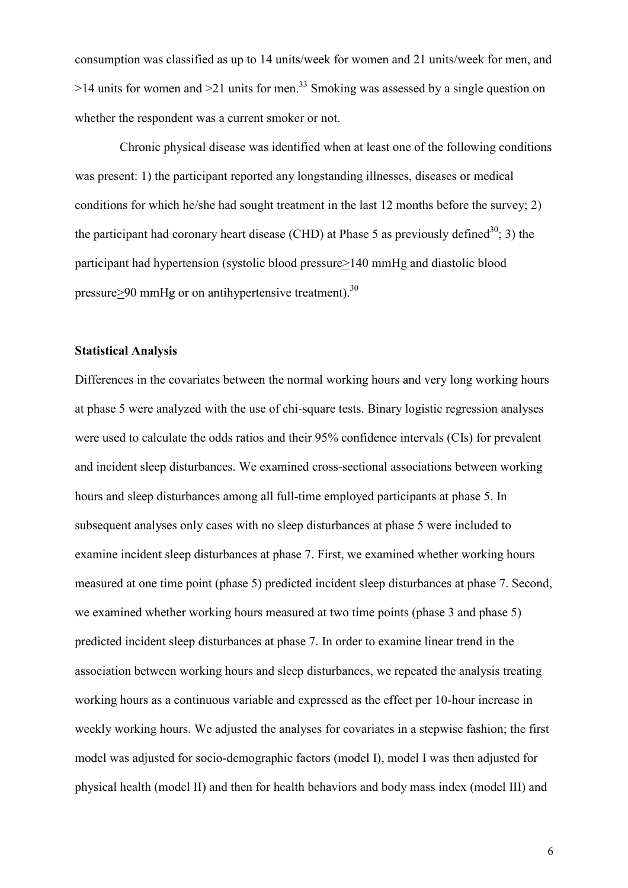consumption was classified as up to 14 units/week for women and 21 units/week for men, and  $>14$  units for women and  $>21$  units for men.<sup>33</sup> Smoking was assessed by a single question on whether the respondent was a current smoker or not.

Chronic physical disease was identified when at least one of the following conditions was present: 1) the participant reported any longstanding illnesses, diseases or medical conditions for which he/she had sought treatment in the last 12 months before the survey; 2) the participant had coronary heart disease (CHD) at Phase 5 as previously defined<sup>30</sup>; 3) the participant had hypertension (systolic blood pressure>140 mmHg and diastolic blood pressure $\geq$ 90 mmHg or on antihypertensive treatment).<sup>30</sup>

#### **Statistical Analysis**

Differences in the covariates between the normal working hours and very long working hours at phase 5 were analyzed with the use of chi-square tests. Binary logistic regression analyses were used to calculate the odds ratios and their 95% confidence intervals (CIs) for prevalent and incident sleep disturbances. We examined cross-sectional associations between working hours and sleep disturbances among all full-time employed participants at phase 5. In subsequent analyses only cases with no sleep disturbances at phase 5 were included to examine incident sleep disturbances at phase 7. First, we examined whether working hours measured at one time point (phase 5) predicted incident sleep disturbances at phase 7. Second, we examined whether working hours measured at two time points (phase 3 and phase 5) predicted incident sleep disturbances at phase 7. In order to examine linear trend in the association between working hours and sleep disturbances, we repeated the analysis treating working hours as a continuous variable and expressed as the effect per 10-hour increase in weekly working hours. We adjusted the analyses for covariates in a stepwise fashion; the first model was adjusted for socio-demographic factors (model I), model I was then adjusted for physical health (model II) and then for health behaviors and body mass index (model III) and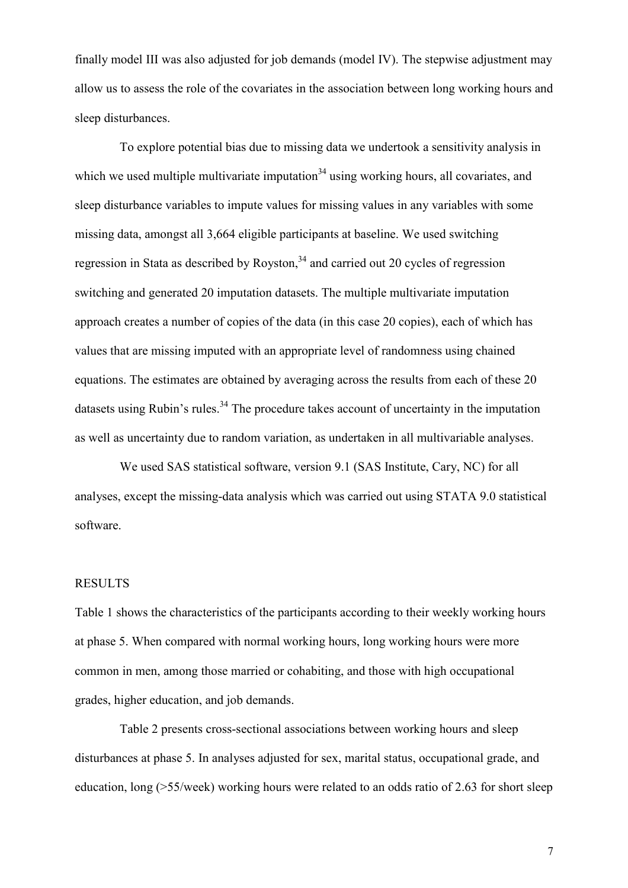finally model III was also adjusted for job demands (model IV). The stepwise adjustment may allow us to assess the role of the covariates in the association between long working hours and sleep disturbances.

 To explore potential bias due to missing data we undertook a sensitivity analysis in which we used multiple multivariate imputation<sup>34</sup> using working hours, all covariates, and sleep disturbance variables to impute values for missing values in any variables with some missing data, amongst all 3,664 eligible participants at baseline. We used switching regression in Stata as described by Royston.<sup>34</sup> and carried out 20 cycles of regression switching and generated 20 imputation datasets. The multiple multivariate imputation approach creates a number of copies of the data (in this case 20 copies), each of which has values that are missing imputed with an appropriate level of randomness using chained equations. The estimates are obtained by averaging across the results from each of these 20 datasets using Rubin's rules. $34$  The procedure takes account of uncertainty in the imputation as well as uncertainty due to random variation, as undertaken in all multivariable analyses.

 We used SAS statistical software, version 9.1 (SAS Institute, Cary, NC) for all analyses, except the missing-data analysis which was carried out using STATA 9.0 statistical software.

### RESULTS

Table 1 shows the characteristics of the participants according to their weekly working hours at phase 5. When compared with normal working hours, long working hours were more common in men, among those married or cohabiting, and those with high occupational grades, higher education, and job demands.

 Table 2 presents cross-sectional associations between working hours and sleep disturbances at phase 5. In analyses adjusted for sex, marital status, occupational grade, and education, long ( $>55$ /week) working hours were related to an odds ratio of 2.63 for short sleep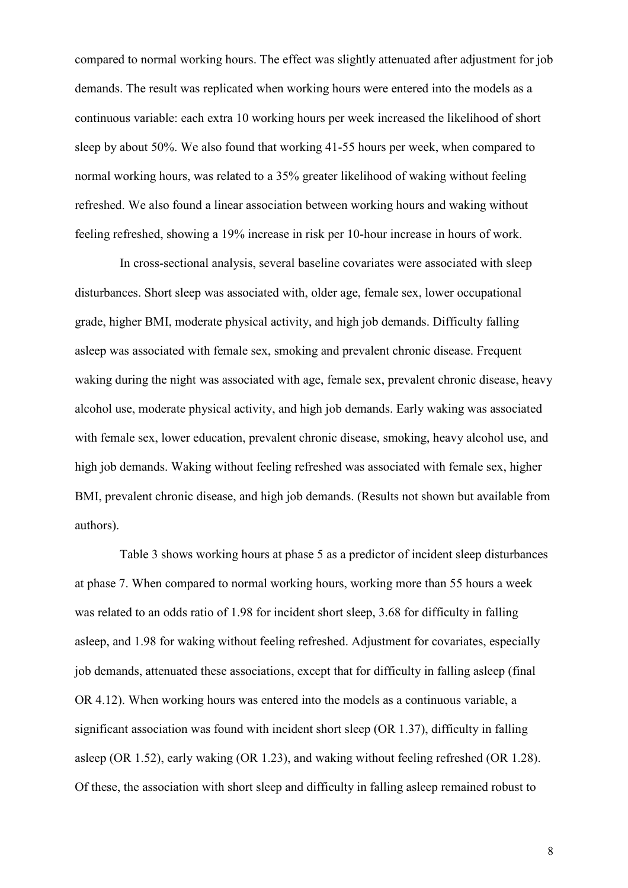compared to normal working hours. The effect was slightly attenuated after adjustment for job demands. The result was replicated when working hours were entered into the models as a continuous variable: each extra 10 working hours per week increased the likelihood of short sleep by about 50%. We also found that working 41-55 hours per week, when compared to normal working hours, was related to a 35% greater likelihood of waking without feeling refreshed. We also found a linear association between working hours and waking without feeling refreshed, showing a 19% increase in risk per 10-hour increase in hours of work.

In cross-sectional analysis, several baseline covariates were associated with sleep disturbances. Short sleep was associated with, older age, female sex, lower occupational grade, higher BMI, moderate physical activity, and high job demands. Difficulty falling asleep was associated with female sex, smoking and prevalent chronic disease. Frequent waking during the night was associated with age, female sex, prevalent chronic disease, heavy alcohol use, moderate physical activity, and high job demands. Early waking was associated with female sex, lower education, prevalent chronic disease, smoking, heavy alcohol use, and high job demands. Waking without feeling refreshed was associated with female sex, higher BMI, prevalent chronic disease, and high job demands. (Results not shown but available from authors).

Table 3 shows working hours at phase 5 as a predictor of incident sleep disturbances at phase 7. When compared to normal working hours, working more than 55 hours a week was related to an odds ratio of 1.98 for incident short sleep, 3.68 for difficulty in falling asleep, and 1.98 for waking without feeling refreshed. Adjustment for covariates, especially job demands, attenuated these associations, except that for difficulty in falling asleep (final OR 4.12). When working hours was entered into the models as a continuous variable, a significant association was found with incident short sleep (OR 1.37), difficulty in falling asleep (OR 1.52), early waking (OR 1.23), and waking without feeling refreshed (OR 1.28). Of these, the association with short sleep and difficulty in falling asleep remained robust to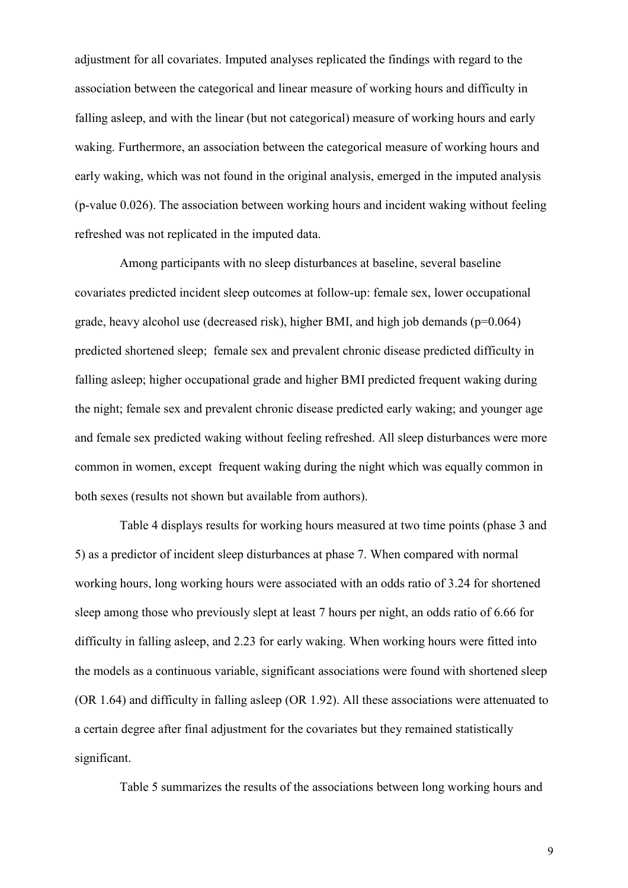adjustment for all covariates. Imputed analyses replicated the findings with regard to the association between the categorical and linear measure of working hours and difficulty in falling asleep, and with the linear (but not categorical) measure of working hours and early waking. Furthermore, an association between the categorical measure of working hours and early waking, which was not found in the original analysis, emerged in the imputed analysis (p-value 0.026). The association between working hours and incident waking without feeling refreshed was not replicated in the imputed data.

Among participants with no sleep disturbances at baseline, several baseline covariates predicted incident sleep outcomes at follow-up: female sex, lower occupational grade, heavy alcohol use (decreased risk), higher BMI, and high job demands ( $p=0.064$ ) predicted shortened sleep; female sex and prevalent chronic disease predicted difficulty in falling asleep; higher occupational grade and higher BMI predicted frequent waking during the night; female sex and prevalent chronic disease predicted early waking; and younger age and female sex predicted waking without feeling refreshed. All sleep disturbances were more common in women, except frequent waking during the night which was equally common in both sexes (results not shown but available from authors).

 Table 4 displays results for working hours measured at two time points (phase 3 and 5) as a predictor of incident sleep disturbances at phase 7. When compared with normal working hours, long working hours were associated with an odds ratio of 3.24 for shortened sleep among those who previously slept at least 7 hours per night, an odds ratio of 6.66 for difficulty in falling asleep, and 2.23 for early waking. When working hours were fitted into the models as a continuous variable, significant associations were found with shortened sleep (OR 1.64) and difficulty in falling asleep (OR 1.92). All these associations were attenuated to a certain degree after final adjustment for the covariates but they remained statistically significant.

Table 5 summarizes the results of the associations between long working hours and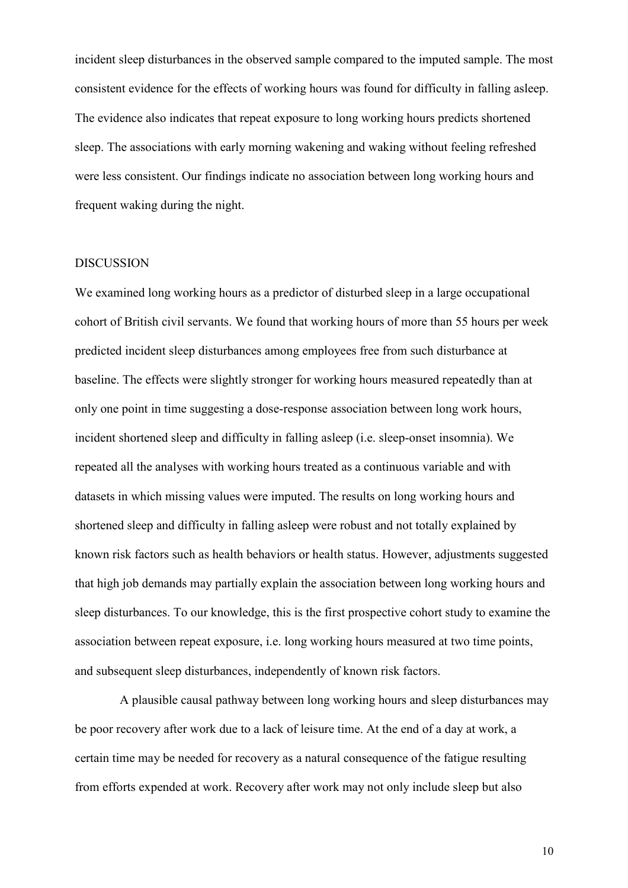incident sleep disturbances in the observed sample compared to the imputed sample. The most consistent evidence for the effects of working hours was found for difficulty in falling asleep. The evidence also indicates that repeat exposure to long working hours predicts shortened sleep. The associations with early morning wakening and waking without feeling refreshed were less consistent. Our findings indicate no association between long working hours and frequent waking during the night.

#### DISCUSSION

We examined long working hours as a predictor of disturbed sleep in a large occupational cohort of British civil servants. We found that working hours of more than 55 hours per week predicted incident sleep disturbances among employees free from such disturbance at baseline. The effects were slightly stronger for working hours measured repeatedly than at only one point in time suggesting a dose-response association between long work hours, incident shortened sleep and difficulty in falling asleep (i.e. sleep-onset insomnia). We repeated all the analyses with working hours treated as a continuous variable and with datasets in which missing values were imputed. The results on long working hours and shortened sleep and difficulty in falling asleep were robust and not totally explained by known risk factors such as health behaviors or health status. However, adjustments suggested that high job demands may partially explain the association between long working hours and sleep disturbances. To our knowledge, this is the first prospective cohort study to examine the association between repeat exposure, i.e. long working hours measured at two time points, and subsequent sleep disturbances, independently of known risk factors.

A plausible causal pathway between long working hours and sleep disturbances may be poor recovery after work due to a lack of leisure time. At the end of a day at work, a certain time may be needed for recovery as a natural consequence of the fatigue resulting from efforts expended at work. Recovery after work may not only include sleep but also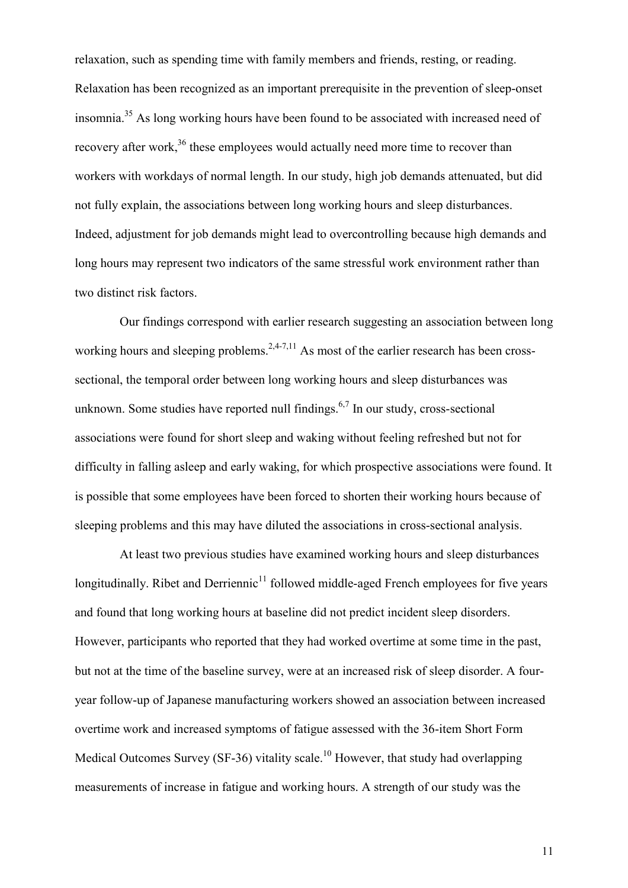relaxation, such as spending time with family members and friends, resting, or reading. Relaxation has been recognized as an important prerequisite in the prevention of sleep-onset insomnia.<sup>35</sup> As long working hours have been found to be associated with increased need of recovery after work,<sup>36</sup> these employees would actually need more time to recover than workers with workdays of normal length. In our study, high job demands attenuated, but did not fully explain, the associations between long working hours and sleep disturbances. Indeed, adjustment for job demands might lead to overcontrolling because high demands and long hours may represent two indicators of the same stressful work environment rather than two distinct risk factors.

Our findings correspond with earlier research suggesting an association between long working hours and sleeping problems.<sup>2,4-7,11</sup> As most of the earlier research has been crosssectional, the temporal order between long working hours and sleep disturbances was unknown. Some studies have reported null findings.<sup>6,7</sup> In our study, cross-sectional associations were found for short sleep and waking without feeling refreshed but not for difficulty in falling asleep and early waking, for which prospective associations were found. It is possible that some employees have been forced to shorten their working hours because of sleeping problems and this may have diluted the associations in cross-sectional analysis.

At least two previous studies have examined working hours and sleep disturbances longitudinally. Ribet and Derriennic<sup>11</sup> followed middle-aged French employees for five years and found that long working hours at baseline did not predict incident sleep disorders. However, participants who reported that they had worked overtime at some time in the past, but not at the time of the baseline survey, were at an increased risk of sleep disorder. A fouryear follow-up of Japanese manufacturing workers showed an association between increased overtime work and increased symptoms of fatigue assessed with the 36-item Short Form Medical Outcomes Survey (SF-36) vitality scale.<sup>10</sup> However, that study had overlapping measurements of increase in fatigue and working hours. A strength of our study was the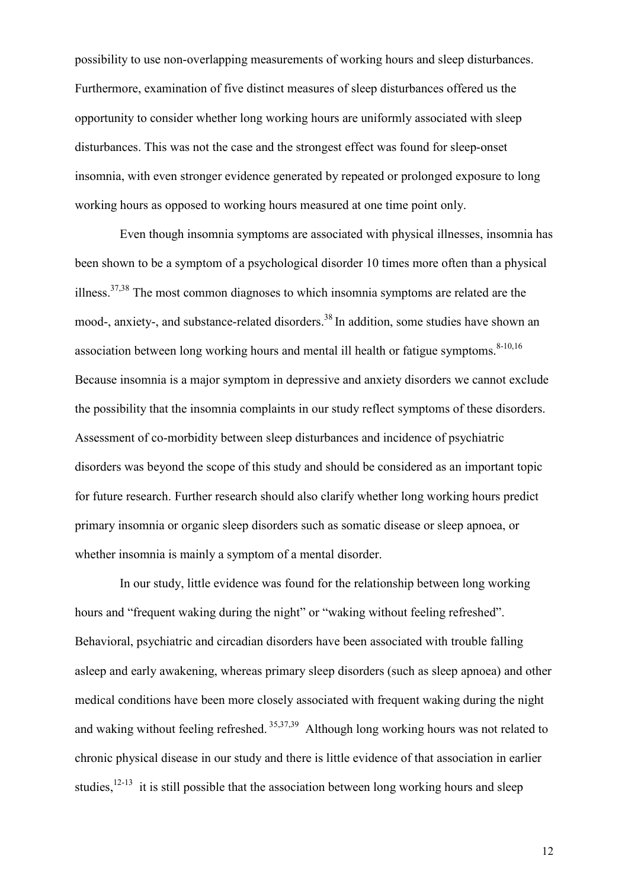possibility to use non-overlapping measurements of working hours and sleep disturbances. Furthermore, examination of five distinct measures of sleep disturbances offered us the opportunity to consider whether long working hours are uniformly associated with sleep disturbances. This was not the case and the strongest effect was found for sleep-onset insomnia, with even stronger evidence generated by repeated or prolonged exposure to long working hours as opposed to working hours measured at one time point only.

Even though insomnia symptoms are associated with physical illnesses, insomnia has been shown to be a symptom of a psychological disorder 10 times more often than a physical illness.37,38 The most common diagnoses to which insomnia symptoms are related are the mood-, anxiety-, and substance-related disorders.<sup>38</sup> In addition, some studies have shown an association between long working hours and mental ill health or fatigue symptoms. $8-10,16$ Because insomnia is a major symptom in depressive and anxiety disorders we cannot exclude the possibility that the insomnia complaints in our study reflect symptoms of these disorders. Assessment of co-morbidity between sleep disturbances and incidence of psychiatric disorders was beyond the scope of this study and should be considered as an important topic for future research. Further research should also clarify whether long working hours predict primary insomnia or organic sleep disorders such as somatic disease or sleep apnoea, or whether insomnia is mainly a symptom of a mental disorder.

In our study, little evidence was found for the relationship between long working hours and "frequent waking during the night" or "waking without feeling refreshed". Behavioral, psychiatric and circadian disorders have been associated with trouble falling asleep and early awakening, whereas primary sleep disorders (such as sleep apnoea) and other medical conditions have been more closely associated with frequent waking during the night and waking without feeling refreshed. <sup>35,37,39</sup> Although long working hours was not related to chronic physical disease in our study and there is little evidence of that association in earlier studies, $12-13$  it is still possible that the association between long working hours and sleep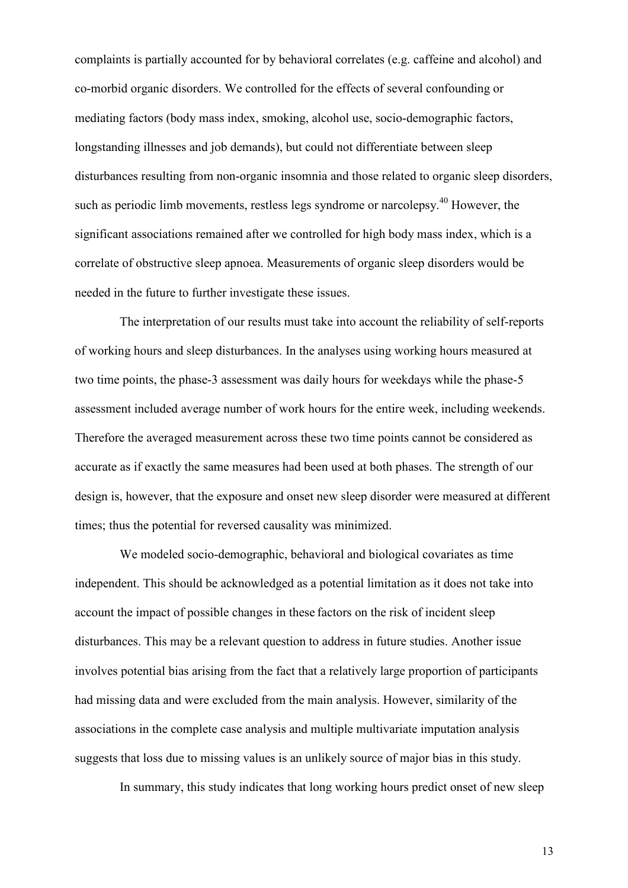complaints is partially accounted for by behavioral correlates (e.g. caffeine and alcohol) and co-morbid organic disorders. We controlled for the effects of several confounding or mediating factors (body mass index, smoking, alcohol use, socio-demographic factors, longstanding illnesses and job demands), but could not differentiate between sleep disturbances resulting from non-organic insomnia and those related to organic sleep disorders, such as periodic limb movements, restless legs syndrome or narcolepsy.<sup>40</sup> However, the significant associations remained after we controlled for high body mass index, which is a correlate of obstructive sleep apnoea. Measurements of organic sleep disorders would be needed in the future to further investigate these issues.

The interpretation of our results must take into account the reliability of self-reports of working hours and sleep disturbances. In the analyses using working hours measured at two time points, the phase-3 assessment was daily hours for weekdays while the phase-5 assessment included average number of work hours for the entire week, including weekends. Therefore the averaged measurement across these two time points cannot be considered as accurate as if exactly the same measures had been used at both phases. The strength of our design is, however, that the exposure and onset new sleep disorder were measured at different times; thus the potential for reversed causality was minimized.

We modeled socio-demographic, behavioral and biological covariates as time independent. This should be acknowledged as a potential limitation as it does not take into account the impact of possible changes in these factors on the risk of incident sleep disturbances. This may be a relevant question to address in future studies. Another issue involves potential bias arising from the fact that a relatively large proportion of participants had missing data and were excluded from the main analysis. However, similarity of the associations in the complete case analysis and multiple multivariate imputation analysis suggests that loss due to missing values is an unlikely source of major bias in this study.

In summary, this study indicates that long working hours predict onset of new sleep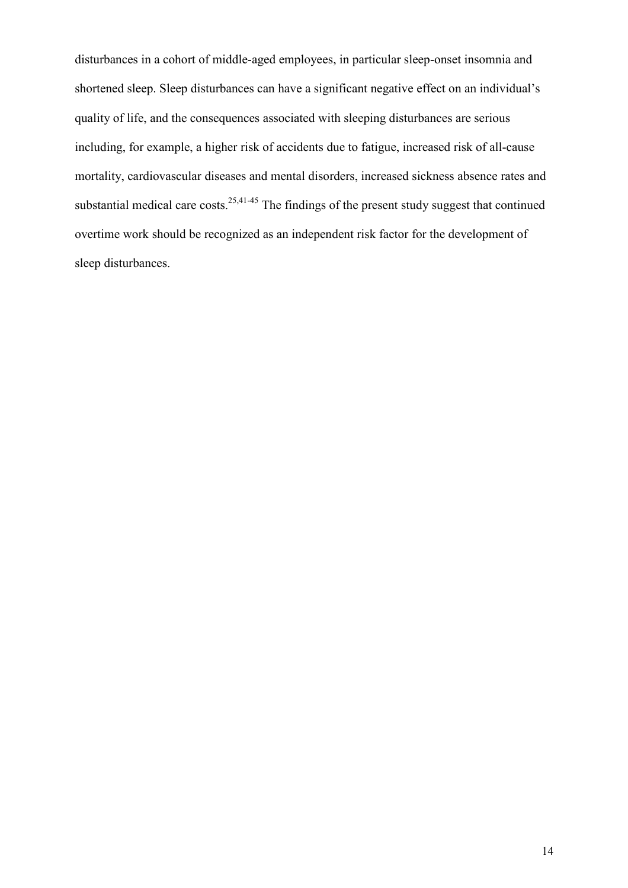disturbances in a cohort of middle-aged employees, in particular sleep-onset insomnia and shortened sleep. Sleep disturbances can have a significant negative effect on an individual's quality of life, and the consequences associated with sleeping disturbances are serious including, for example, a higher risk of accidents due to fatigue, increased risk of all-cause mortality, cardiovascular diseases and mental disorders, increased sickness absence rates and substantial medical care costs.<sup>25,41-45</sup> The findings of the present study suggest that continued overtime work should be recognized as an independent risk factor for the development of sleep disturbances.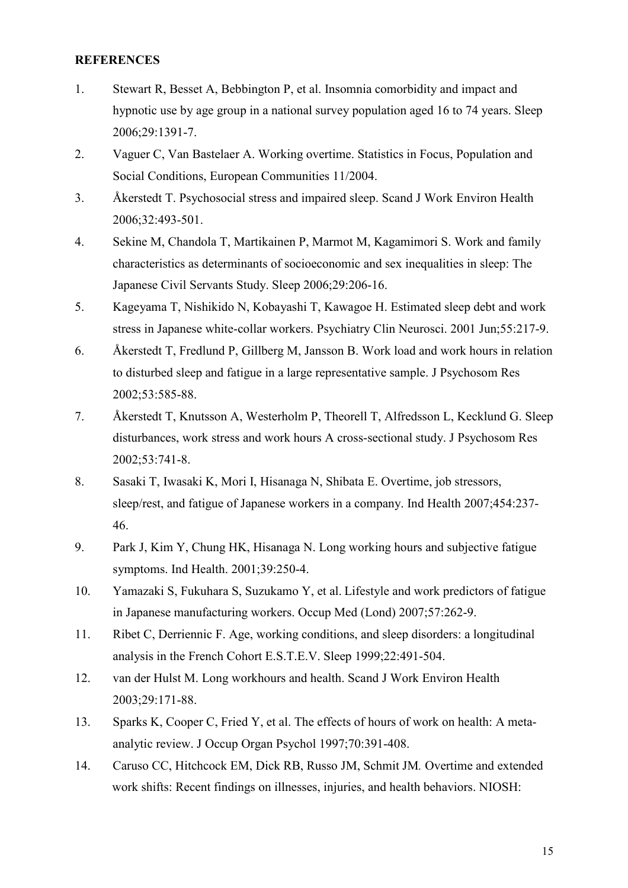## **REFERENCES**

- 1. Stewart R, Besset A, Bebbington P, et al. Insomnia comorbidity and impact and hypnotic use by age group in a national survey population aged 16 to 74 years. Sleep 2006;29:1391-7.
- 2. Vaguer C, Van Bastelaer A. Working overtime. Statistics in Focus, Population and Social Conditions, European Communities 11/2004.
- 3. Åkerstedt T. Psychosocial stress and impaired sleep. Scand J Work Environ Health 2006;32:493-501.
- 4. Sekine M, Chandola T, Martikainen P, Marmot M, Kagamimori S. Work and family characteristics as determinants of socioeconomic and sex inequalities in sleep: The Japanese Civil Servants Study. Sleep 2006;29:206-16.
- 5. Kageyama T, Nishikido N, Kobayashi T, Kawagoe H. Estimated sleep debt and work stress in Japanese white-collar workers. Psychiatry Clin Neurosci. 2001 Jun;55:217-9.
- 6. Åkerstedt T, Fredlund P, Gillberg M, Jansson B. Work load and work hours in relation to disturbed sleep and fatigue in a large representative sample. J Psychosom Res 2002;53:585-88.
- 7. Åkerstedt T, Knutsson A, Westerholm P, Theorell T, Alfredsson L, Kecklund G. Sleep disturbances, work stress and work hours A cross-sectional study. J Psychosom Res 2002;53:741-8.
- 8. Sasaki T, Iwasaki K, Mori I, Hisanaga N, Shibata E. Overtime, job stressors, sleep/rest, and fatigue of Japanese workers in a company. Ind Health 2007;454:237- 46.
- 9. Park J, Kim Y, Chung HK, Hisanaga N. Long working hours and subjective fatigue symptoms. Ind Health. 2001;39:250-4.
- 10. Yamazaki S, Fukuhara S, Suzukamo Y, et al. Lifestyle and work predictors of fatigue in Japanese manufacturing workers. Occup Med (Lond) 2007;57:262-9.
- 11. Ribet C, Derriennic F. Age, working conditions, and sleep disorders: a longitudinal analysis in the French Cohort E.S.T.E.V. Sleep 1999;22:491-504.
- 12. van der Hulst M. Long workhours and health. Scand J Work Environ Health 2003;29:171-88.
- 13. Sparks K, Cooper C, Fried Y, et al. The effects of hours of work on health: A meta analytic review. J Occup Organ Psychol 1997;70:391-408.
- 14. Caruso CC, Hitchcock EM, Dick RB, Russo JM, Schmit JM*.* Overtime and extended work shifts: Recent findings on illnesses, injuries, and health behaviors. NIOSH: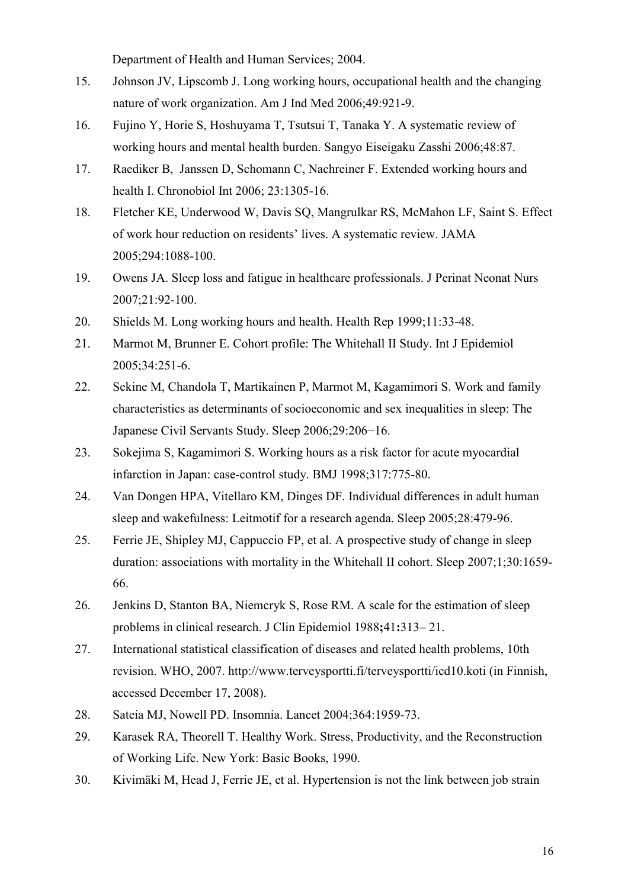Department of Health and Human Services; 2004.

- 15. Johnson JV, Lipscomb J. Long working hours, occupational health and the changing nature of work organization. Am J Ind Med 2006;49:921-9.
- 16. Fujino Y, Horie S, Hoshuyama T, Tsutsui T, Tanaka Y. A systematic review of working hours and mental health burden. Sangyo Eiseigaku Zasshi 2006;48:87.
- 17. Raediker B, Janssen D, Schomann C, Nachreiner F. Extended working hours and health I. Chronobiol Int 2006; 23:1305-16.
- 18. Fletcher KE, Underwood W, Davis SQ, Mangrulkar RS, McMahon LF, Saint S. Effect of work hour reduction on residents' lives. A systematic review. JAMA 2005;294:1088-100.
- 19. Owens JA. Sleep loss and fatigue in healthcare professionals. J Perinat Neonat Nurs 2007;21:92-100.
- 20. Shields M. Long working hours and health. Health Rep 1999;11:33-48.
- 21. Marmot M, Brunner E. Cohort profile: The Whitehall II Study. Int J Epidemiol 2005;34:251-6.
- 22. Sekine M, Chandola T, Martikainen P, Marmot M, Kagamimori S. Work and family characteristics as determinants of socioeconomic and sex inequalities in sleep: The Japanese Civil Servants Study. Sleep 2006;29:206−16.
- 23. Sokejima S, Kagamimori S. Working hours as a risk factor for acute myocardial infarction in Japan: case-control study. BMJ 1998;317:775-80.
- 24. Van Dongen HPA, Vitellaro KM, Dinges DF. Individual differences in adult human sleep and wakefulness: Leitmotif for a research agenda. Sleep 2005;28:479-96.
- 25. Ferrie JE, Shipley MJ, Cappuccio FP, et al. A prospective study of change in sleep duration: associations with mortality in the Whitehall II cohort. Sleep 2007;1;30:1659- 66.
- 26. Jenkins D, Stanton BA, Niemcryk S, Rose RM. A scale for the estimation of sleep problems in clinical research. J Clin Epidemiol 1988**;**41**:**313– 21.
- 27. International statistical classification of diseases and related health problems, 10th revision. WHO, 2007. http://www.terveysportti.fi/terveysportti/icd10.koti (in Finnish, accessed December 17, 2008).
- 28. Sateia MJ, Nowell PD. Insomnia. Lancet 2004;364:1959-73.
- 29. Karasek RA, Theorell T. Healthy Work. Stress, Productivity, and the Reconstruction of Working Life. New York: Basic Books, 1990.
- 30. Kivimäki M, Head J, Ferrie JE, et al. Hypertension is not the link between job strain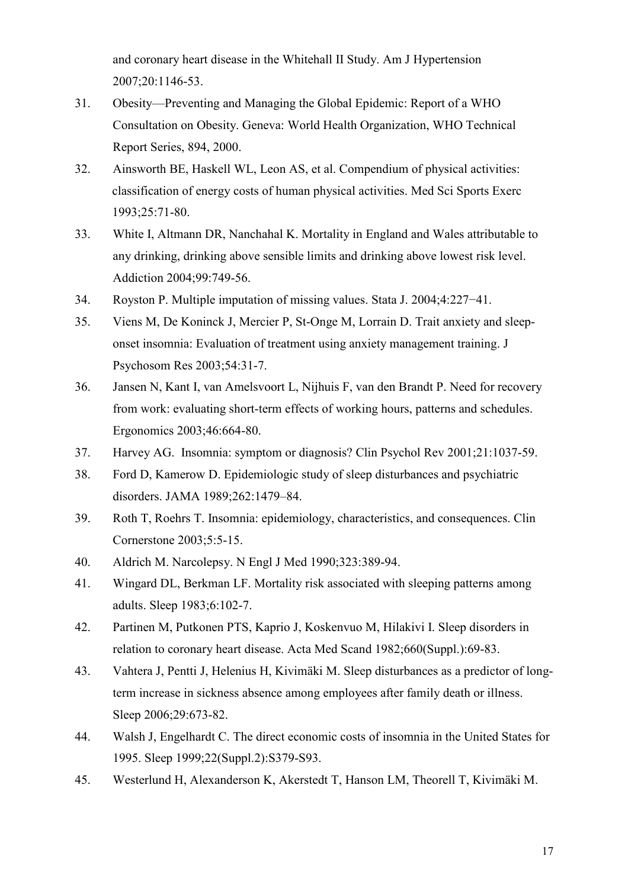and coronary heart disease in the Whitehall II Study. Am J Hypertension 2007;20:1146-53.

- 31. Obesity—Preventing and Managing the Global Epidemic: Report of a WHO Consultation on Obesity. Geneva: World Health Organization, WHO Technical Report Series, 894, 2000.
- 32. Ainsworth BE, Haskell WL, Leon AS, et al. Compendium of physical activities: classification of energy costs of human physical activities. Med Sci Sports Exerc 1993;25:71-80.
- 33. White I, Altmann DR, Nanchahal K. Mortality in England and Wales attributable to any drinking, drinking above sensible limits and drinking above lowest risk level. Addiction 2004;99:749-56.
- 34. Royston P. Multiple imputation of missing values. Stata J. 2004;4:227−41.
- 35. Viens M, De Koninck J, Mercier P, St-Onge M, Lorrain D. Trait anxiety and sleep onset insomnia: Evaluation of treatment using anxiety management training. J Psychosom Res 2003;54:31-7.
- 36. Jansen N, Kant I, van Amelsvoort L, Nijhuis F, van den Brandt P. Need for recovery from work: evaluating short-term effects of working hours, patterns and schedules. Ergonomics 2003;46:664-80.
- 37. Harvey AG. Insomnia: symptom or diagnosis? Clin Psychol Rev 2001;21:1037-59.
- 38. Ford D, Kamerow D. Epidemiologic study of sleep disturbances and psychiatric disorders. JAMA 1989;262:1479–84.
- 39. Roth T, Roehrs T. Insomnia: epidemiology, characteristics, and consequences. Clin Cornerstone 2003;5:5-15.
- 40. Aldrich M. Narcolepsy. N Engl J Med 1990;323:389-94.
- 41. Wingard DL, Berkman LF. Mortality risk associated with sleeping patterns among adults. Sleep 1983;6:102-7.
- 42. Partinen M, Putkonen PTS, Kaprio J, Koskenvuo M, Hilakivi I. Sleep disorders in relation to coronary heart disease. Acta Med Scand 1982;660(Suppl.):69-83.
- 43. Vahtera J, Pentti J, Helenius H, Kivimäki M. Sleep disturbances as a predictor of long term increase in sickness absence among employees after family death or illness. Sleep 2006;29:673-82.
- 44. Walsh J, Engelhardt C. The direct economic costs of insomnia in the United States for 1995. Sleep 1999;22(Suppl.2):S379-S93.
- 45. Westerlund H, Alexanderson K, Akerstedt T, Hanson LM, Theorell T, Kivimäki M.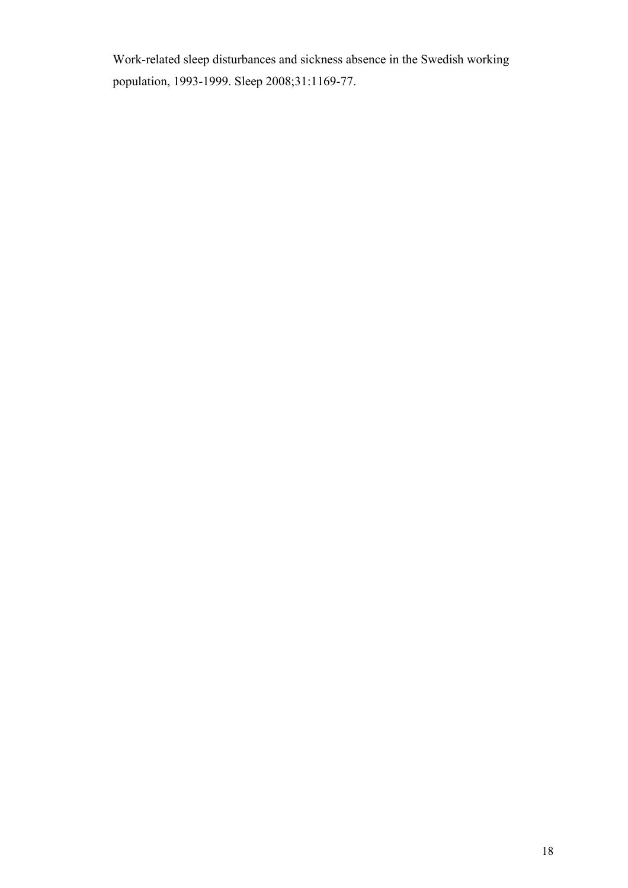Work-related sleep disturbances and sickness absence in the Swedish working population, 1993-1999. Sleep 2008;31:1169-77.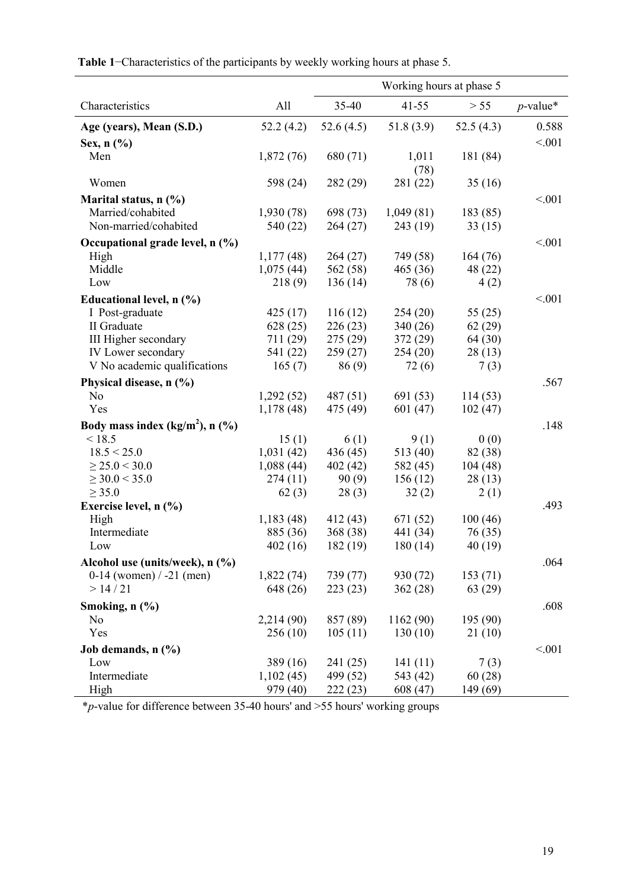|                                               |            | Working hours at phase 5 |           |              |             |
|-----------------------------------------------|------------|--------------------------|-----------|--------------|-------------|
| Characteristics                               | All        | 35-40                    | $41 - 55$ | > 55         | $p$ -value* |
| Age (years), Mean (S.D.)                      | 52.2(4.2)  | 52.6(4.5)                | 51.8(3.9) | 52.5 $(4.3)$ | 0.588       |
| Sex, $n$ $(\%)$                               |            |                          |           |              | < 0.01      |
| Men                                           | 1,872(76)  | 680 (71)                 | 1,011     | 181 (84)     |             |
|                                               |            |                          | (78)      |              |             |
| Women                                         | 598 (24)   | 282 (29)                 | 281 (22)  | 35(16)       |             |
| Marital status, $n$ (%)                       |            |                          |           |              | < 0.01      |
| Married/cohabited                             | 1,930(78)  | 698 (73)                 | 1,049(81) | 183(85)      |             |
| Non-married/cohabited                         | 540 (22)   | 264 (27)                 | 243 (19)  | 33(15)       |             |
| Occupational grade level, n (%)               |            |                          |           |              | < 0.01      |
| High                                          | 1,177(48)  | 264(27)                  | 749 (58)  | 164(76)      |             |
| Middle                                        | 1,075(44)  | 562 (58)                 | 465 (36)  | 48 (22)      |             |
| Low                                           | 218(9)     | 136(14)                  | 78 (6)    | 4(2)         |             |
| Educational level, n (%)                      |            |                          |           |              | < 0.01      |
| I Post-graduate                               | 425(17)    | 116(12)                  | 254(20)   | 55 $(25)$    |             |
| II Graduate                                   | 628(25)    | 226(23)                  | 340(26)   | 62(29)       |             |
| III Higher secondary                          | 711 (29)   | 275(29)                  | 372(29)   | 64 (30)      |             |
| IV Lower secondary                            | 541 (22)   | 259 (27)                 | 254(20)   | 28(13)       |             |
| V No academic qualifications                  | 165(7)     | 86(9)                    | 72(6)     | 7(3)         |             |
| Physical disease, n (%)                       |            |                          |           |              | .567        |
| N <sub>o</sub>                                | 1,292(52)  | 487(51)                  | 691 (53)  | 114(53)      |             |
| Yes                                           | 1,178(48)  | 475 (49)                 | 601(47)   | 102(47)      |             |
| Body mass index $(kg/m2)$ , n $(\frac{9}{6})$ |            |                          |           |              | .148        |
| < 18.5                                        | 15(1)      | 6(1)                     | 9(1)      | 0(0)         |             |
| 18.5 < 25.0                                   | 1,031(42)  | 436 (45)                 | 513 (40)  | 82 (38)      |             |
| $\geq$ 25.0 < 30.0                            | 1,088(44)  | 402(42)                  | 582 (45)  | 104(48)      |             |
| $\geq$ 30.0 < 35.0                            | 274(11)    | 90(9)                    | 156(12)   | 28(13)       |             |
| $\geq$ 35.0                                   | 62(3)      | 28(3)                    | 32(2)     | 2(1)         |             |
| Exercise level, n (%)                         |            |                          |           |              | .493        |
| High                                          | 1,183(48)  | 412 (43)                 | 671 (52)  | 100(46)      |             |
| Intermediate                                  | 885 (36)   | 368 (38)                 | 441 (34)  | 76 (35)      |             |
| Low                                           | 402(16)    | 182(19)                  | 180(14)   | 40(19)       |             |
| Alcohol use (units/week), n (%)               |            |                          |           |              | .064        |
| 0-14 (women) $/ -21$ (men)                    | 1,822(74)  | 739 (77)                 | 930 (72)  | 153(71)      |             |
| > 14/21                                       | 648 (26)   | 223(23)                  | 362(28)   | 63(29)       |             |
| Smoking, n (%)                                |            |                          |           |              | .608        |
| N <sub>0</sub>                                | 2,214 (90) | 857 (89)                 | 1162 (90) | 195 (90)     |             |
| Yes                                           | 256(10)    | 105(11)                  | 130(10)   | 21(10)       |             |
| Job demands, $n$ $(\%)$                       |            |                          |           |              | < 0.01      |
| Low                                           | 389 (16)   | 241 (25)                 | 141(11)   | 7(3)         |             |
| Intermediate                                  | 1,102(45)  | 499 (52)                 | 543 (42)  | 60(28)       |             |
| High                                          | 979 (40)   | 222(23)                  | 608 (47)  | 149 (69)     |             |

 **Table 1**−Characteristics of the participants by weekly working hours at phase 5.

\**p*-value for difference between 35-40 hours' and >55 hours' working groups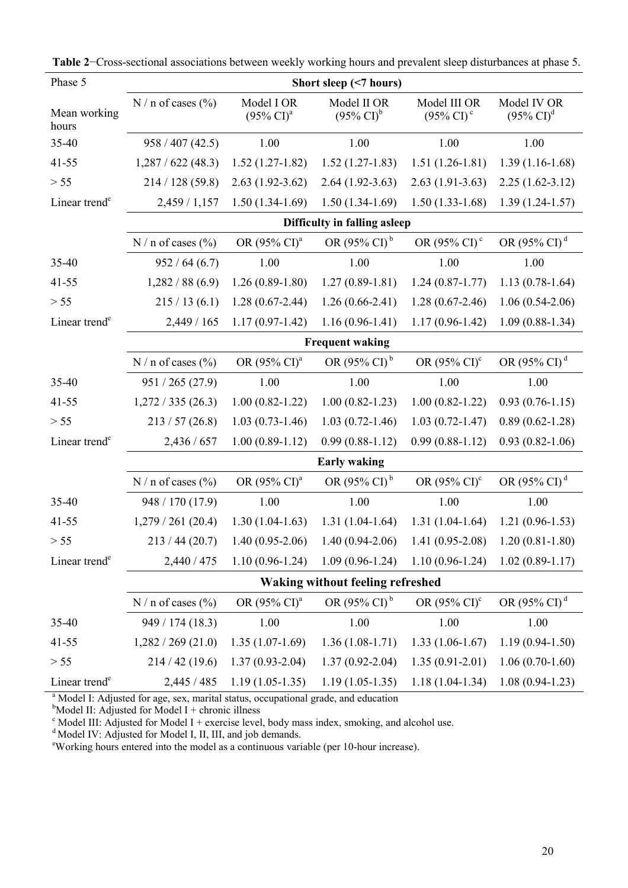| Phase 5                   | Short sleep (<7 hours)       |                                              |                                                                                  |                                                       |                                      |  |  |  |  |
|---------------------------|------------------------------|----------------------------------------------|----------------------------------------------------------------------------------|-------------------------------------------------------|--------------------------------------|--|--|--|--|
| Mean working<br>hours     | $N/n$ of cases $(\% )$       | Model I OR<br>$(95\% \text{ CI})^{\text{a}}$ | Model II OR<br>$(95\% \text{ CI})^b$                                             | Model III OR<br>$(95\% \text{ CI})^{\circ}$           | Model IV OR<br>$(95\% \text{ CI})^d$ |  |  |  |  |
| 35-40                     | 958 / 407 (42.5)             | 1.00                                         | 1.00                                                                             | 1.00                                                  | 1.00                                 |  |  |  |  |
| $41 - 55$                 | 1,287/622(48.3)              | $1.52(1.27-1.82)$                            | $1.52(1.27-1.83)$                                                                | $1.51(1.26-1.81)$                                     | $1.39(1.16-1.68)$                    |  |  |  |  |
| $> 55$                    | 214 / 128 (59.8)             | $2.63(1.92-3.62)$                            | $2.64(1.92-3.63)$                                                                | $2.63(1.91-3.63)$                                     | $2.25(1.62-3.12)$                    |  |  |  |  |
| Linear trend <sup>e</sup> | 2,459 / 1,157                | $1.50(1.34-1.69)$                            | $1.50(1.34-1.69)$                                                                | $1.50(1.33-1.68)$                                     | $1.39(1.24-1.57)$                    |  |  |  |  |
|                           | Difficulty in falling asleep |                                              |                                                                                  |                                                       |                                      |  |  |  |  |
|                           | N / n of cases $(\% )$       | OR (95% CI) <sup>a</sup>                     | OR $(95\% \text{ CI})^b$<br>OR (95% CI) <sup>d</sup><br>OR (95% CI) <sup>c</sup> |                                                       |                                      |  |  |  |  |
| 35-40                     | 952 / 64 (6.7)               | 1.00                                         | 1.00                                                                             | 1.00                                                  | 1.00                                 |  |  |  |  |
| $41 - 55$                 | 1,282/88(6.9)                | $1.26(0.89-1.80)$                            | $1.27(0.89-1.81)$                                                                | $1.24(0.87-1.77)$                                     | $1.13(0.78-1.64)$                    |  |  |  |  |
| $> 55$                    | 215/13(6.1)                  | $1.28(0.67-2.44)$                            | $1.26(0.66-2.41)$                                                                | $1.28(0.67-2.46)$                                     | $1.06(0.54-2.06)$                    |  |  |  |  |
| Linear trend <sup>e</sup> | 2,449 / 165                  | $1.17(0.97-1.42)$                            | $1.16(0.96 - 1.41)$                                                              | $1.17(0.96 - 1.42)$                                   | $1.09(0.88-1.34)$                    |  |  |  |  |
|                           | <b>Frequent waking</b>       |                                              |                                                                                  |                                                       |                                      |  |  |  |  |
|                           | $N/n$ of cases $(\% )$       | OR (95% CI) <sup>a</sup>                     | OR (95% CI) <sup>b</sup>                                                         | OR (95% CI) <sup>c</sup>                              | OR (95% CI) <sup>d</sup>             |  |  |  |  |
| 35-40                     | 951 / 265 (27.9)             | 1.00                                         | 1.00                                                                             | 1.00                                                  | 1.00                                 |  |  |  |  |
| $41 - 55$                 | 1,272/335(26.3)              | $1.00(0.82 - 1.22)$                          | $1.00(0.82 - 1.23)$                                                              | $1.00(0.82 - 1.22)$                                   | $0.93(0.76-1.15)$                    |  |  |  |  |
| $> 55$                    | 213 / 57 (26.8)              | $1.03(0.73-1.46)$                            | $1.03(0.72 - 1.46)$                                                              | $1.03(0.72 - 1.47)$                                   | $0.89(0.62 - 1.28)$                  |  |  |  |  |
| Linear trend <sup>e</sup> | 2,436 / 657                  | $1.00(0.89-1.12)$                            | $0.99(0.88-1.12)$                                                                | $0.99(0.88-1.12)$                                     | $0.93(0.82 - 1.06)$                  |  |  |  |  |
|                           | <b>Early waking</b>          |                                              |                                                                                  |                                                       |                                      |  |  |  |  |
|                           | $N/n$ of cases $(\% )$       | OR $(95\% \text{ CI})^{\text{a}}$            | OR $(95\% \text{ CI})^b$                                                         | OR $(95\% \text{ CI})^c$                              | OR $(95\% \text{ CI})^d$             |  |  |  |  |
| 35-40                     | 948 / 170 (17.9)             | 1.00                                         | 1.00                                                                             | 1.00                                                  | 1.00                                 |  |  |  |  |
| $41 - 55$                 | 1,279/261(20.4)              | $1.30(1.04-1.63)$                            | $1.31(1.04-1.64)$                                                                | $1.31(1.04-1.64)$                                     | $1.21(0.96-1.53)$                    |  |  |  |  |
| $> 55$                    | 213/44(20.7)                 | $1.40(0.95-2.06)$                            | $1.40(0.94 - 2.06)$                                                              | $1.41(0.95-2.08)$                                     | $1.20(0.81 - 1.80)$                  |  |  |  |  |
| Linear trend <sup>e</sup> | 2,440 / 475                  | $1.10(0.96-1.24)$                            |                                                                                  | $1.09(0.96-1.24)$ $1.10(0.96-1.24)$ $1.02(0.89-1.17)$ |                                      |  |  |  |  |
|                           |                              |                                              | <b>Waking without feeling refreshed</b>                                          |                                                       |                                      |  |  |  |  |
|                           | N / n of cases $(\% )$       | OR (95% CI) <sup>a</sup>                     | OR (95% CI) <sup>b</sup>                                                         | OR $(95\% \text{ CI})^c$                              | OR $(95\% \text{ CI})^d$             |  |  |  |  |
| 35-40                     | 949 / 174 (18.3)             | 1.00                                         | 1.00                                                                             | 1.00                                                  | 1.00                                 |  |  |  |  |
| $41 - 55$                 | 1,282/269(21.0)              | $1.35(1.07-1.69)$                            | $1.36(1.08-1.71)$                                                                | $1.33(1.06-1.67)$                                     | $1.19(0.94-1.50)$                    |  |  |  |  |
| $> 55$                    | 214/42(19.6)                 | $1.37(0.93 - 2.04)$                          | $1.37(0.92 - 2.04)$                                                              | $1.35(0.91 - 2.01)$                                   | $1.06(0.70-1.60)$                    |  |  |  |  |
| Linear trend <sup>e</sup> | 2,445 / 485                  | $1.19(1.05-1.35)$                            | $1.19(1.05-1.35)$                                                                | $1.18(1.04-1.34)$                                     | $1.08(0.94-1.23)$                    |  |  |  |  |

**Table 2**−Cross-sectional associations between weekly working hours and prevalent sleep disturbances at phase 5.

<sup>a</sup> Model I: Adjusted for age, sex, marital status, occupational grade, and education

<sup>b</sup>Model II: Adjusted for Model I + chronic illness<br>
<sup>c</sup> Model III: Adjusted for Model I + exercise level, body mass index, smoking, and alcohol use.

<sup>d</sup> Model IV: Adjusted for Model I, II, III, and job demands.

<sup>e</sup>Working hours entered into the model as a continuous variable (per 10-hour increase).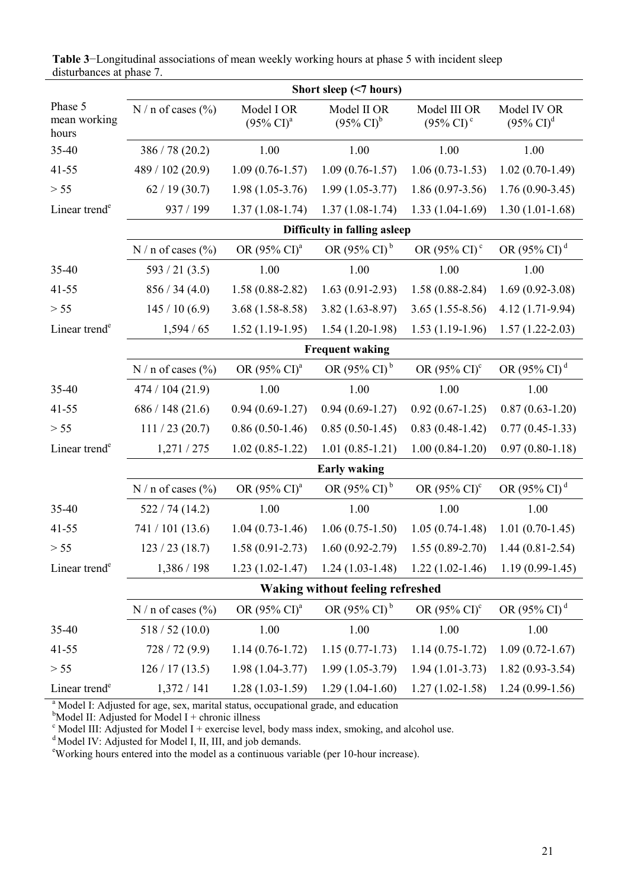|                                  | Short sleep (<7 hours)                  |                                              |                                      |                                             |                                      |  |  |  |  |  |
|----------------------------------|-----------------------------------------|----------------------------------------------|--------------------------------------|---------------------------------------------|--------------------------------------|--|--|--|--|--|
| Phase 5<br>mean working<br>hours | N / n of cases $(\% )$                  | Model I OR<br>$(95\% \text{ CI})^{\text{a}}$ | Model II OR<br>$(95\% \text{ CI})^b$ | Model III OR<br>$(95\% \text{ CI})^{\circ}$ | Model IV OR<br>$(95\% \text{ CI})^d$ |  |  |  |  |  |
| 35-40                            | 386 / 78 (20.2)                         | 1.00                                         | 1.00                                 | 1.00                                        | 1.00                                 |  |  |  |  |  |
| $41 - 55$                        | 489 / 102 (20.9)                        | $1.09(0.76 - 1.57)$                          | $1.09(0.76 - 1.57)$                  | $1.06(0.73-1.53)$                           | $1.02(0.70-1.49)$                    |  |  |  |  |  |
| $> 55$                           | 62/19(30.7)                             | $1.98(1.05-3.76)$                            | $1.99(1.05-3.77)$                    | $1.86(0.97-3.56)$                           | $1.76(0.90-3.45)$                    |  |  |  |  |  |
| Linear trend <sup>e</sup>        | 937 / 199                               | $1.37(1.08-1.74)$                            | $1.37(1.08-1.74)$                    | $1.33(1.04-1.69)$                           | $1.30(1.01-1.68)$                    |  |  |  |  |  |
|                                  |                                         |                                              | Difficulty in falling asleep         |                                             |                                      |  |  |  |  |  |
|                                  | N / n of cases $(\% )$                  | OR (95% CI) <sup>a</sup>                     | OR $(95\% \text{ CI})^d$             |                                             |                                      |  |  |  |  |  |
| 35-40                            | 593 / 21 (3.5)                          | 1.00                                         | 1.00                                 | 1.00                                        | 1.00                                 |  |  |  |  |  |
| $41 - 55$                        | 856 / 34 (4.0)                          | $1.58(0.88-2.82)$                            | $1.63(0.91-2.93)$                    | $1.58(0.88-2.84)$                           | $1.69(0.92 - 3.08)$                  |  |  |  |  |  |
| $> 55$                           | 145/10(6.9)                             | $3.68(1.58-8.58)$                            | $3.82(1.63 - 8.97)$                  | $3.65(1.55-8.56)$                           | 4.12 (1.71-9.94)                     |  |  |  |  |  |
| Linear trend <sup>e</sup>        | 1,594/65                                | $1.52(1.19-1.95)$                            | $1.54(1.20-1.98)$                    | $1.53(1.19-1.96)$                           | $1.57(1.22 - 2.03)$                  |  |  |  |  |  |
|                                  | <b>Frequent waking</b>                  |                                              |                                      |                                             |                                      |  |  |  |  |  |
|                                  | N / n of cases $(\% )$                  | OR (95% CI) <sup>a</sup>                     | OR (95% CI) <sup>b</sup>             | OR $(95\% \text{ CI})^c$                    | OR (95% CI) <sup>d</sup>             |  |  |  |  |  |
| 35-40                            | 474 / 104 (21.9)                        | 1.00                                         | 1.00                                 | 1.00                                        | 1.00                                 |  |  |  |  |  |
| $41 - 55$                        | 686 / 148 (21.6)                        | $0.94(0.69-1.27)$                            | $0.94(0.69-1.27)$                    | $0.92(0.67-1.25)$                           | $0.87(0.63-1.20)$                    |  |  |  |  |  |
| $> 55$                           | 111 / 23 (20.7)                         | $0.86(0.50-1.46)$                            | $0.85(0.50-1.45)$                    | $0.83(0.48-1.42)$                           | $0.77(0.45-1.33)$                    |  |  |  |  |  |
| Linear trend <sup>e</sup>        | 1,271/275                               | $1.02(0.85-1.22)$                            | $1.01(0.85-1.21)$                    | $1.00(0.84-1.20)$                           | $0.97(0.80-1.18)$                    |  |  |  |  |  |
|                                  | <b>Early waking</b>                     |                                              |                                      |                                             |                                      |  |  |  |  |  |
|                                  | $N/n$ of cases $(\% )$                  | OR (95% CI) <sup>a</sup>                     | OR (95% CI) <sup>b</sup>             | OR $(95\% \text{ CI})^c$                    | OR (95% CI) <sup>d</sup>             |  |  |  |  |  |
| 35-40                            | 522/74(14.2)                            | 1.00                                         | 1.00                                 | 1.00                                        | 1.00                                 |  |  |  |  |  |
| $41 - 55$                        | 741 / 101 (13.6)                        | $1.04(0.73-1.46)$                            | $1.06(0.75-1.50)$                    | $1.05(0.74-1.48)$                           | $1.01(0.70-1.45)$                    |  |  |  |  |  |
| > 55                             | 123/23(18.7)                            | $1.58(0.91-2.73)$                            | $1.60(0.92 - 2.79)$                  |                                             | $1.55(0.89-2.70)$ 1.44 $(0.81-2.54)$ |  |  |  |  |  |
| Linear trend <sup>e</sup>        | 1,386 / 198                             | $1.23(1.02-1.47)$                            | $1.24(1.03-1.48)$                    | $1.22(1.02-1.46)$                           | $1.19(0.99-1.45)$                    |  |  |  |  |  |
|                                  | <b>Waking without feeling refreshed</b> |                                              |                                      |                                             |                                      |  |  |  |  |  |
|                                  | N / n of cases $(\% )$                  | OR (95% CI) <sup>a</sup>                     | OR $(95\% \text{ CI})^b$             | OR $(95\% \text{ CI})^c$                    | OR (95% CI) <sup>d</sup>             |  |  |  |  |  |
| 35-40                            | 518 / 52 (10.0)                         | 1.00                                         | 1.00                                 | 1.00                                        | 1.00                                 |  |  |  |  |  |
| $41 - 55$                        | 728/72(9.9)                             | $1.14(0.76-1.72)$                            | $1.15(0.77-1.73)$                    | $1.14(0.75-1.72)$                           | $1.09(0.72 - 1.67)$                  |  |  |  |  |  |
| $> 55$                           | 126 / 17 (13.5)                         | $1.98(1.04-3.77)$                            | $1.99(1.05-3.79)$                    | $1.94(1.01-3.73)$                           | $1.82(0.93-3.54)$                    |  |  |  |  |  |
| Linear trend <sup>e</sup>        | 1,372/141                               | $1.28(1.03-1.59)$                            | $1.29(1.04-1.60)$                    | $1.27(1.02-1.58)$                           | $1.24(0.99-1.56)$                    |  |  |  |  |  |

**Table 3**−Longitudinal associations of mean weekly working hours at phase 5 with incident sleep disturbances at phase 7.

<sup>a</sup> Model I: Adjusted for age, sex, marital status, occupational grade, and education

<sup>b</sup>Model II: Adjusted for Model I + chronic illness<br>
<sup>c</sup> Model III: Adjusted for Model I + exercise level, body mass index, smoking, and alcohol use.

<sup>d</sup> Model IV: Adjusted for Model I, II, III, and job demands.

<sup>e</sup>Working hours entered into the model as a continuous variable (per 10-hour increase).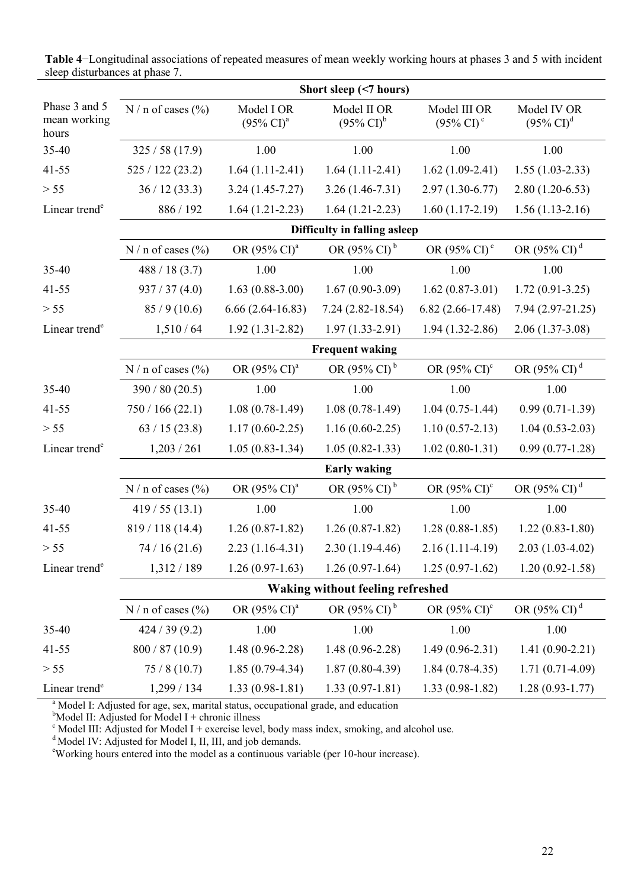|                                                                  | Short sleep (<7 hours)                  |                                              |                                      |                                             |                                      |  |  |  |  |
|------------------------------------------------------------------|-----------------------------------------|----------------------------------------------|--------------------------------------|---------------------------------------------|--------------------------------------|--|--|--|--|
| Phase 3 and 5<br>$N/n$ of cases $(\% )$<br>mean working<br>hours |                                         | Model I OR<br>$(95\% \text{ CI})^{\text{a}}$ | Model II OR<br>$(95\% \text{ CI})^b$ | Model III OR<br>$(95\% \text{ CI})^{\circ}$ | Model IV OR<br>$(95\% \text{ CI})^d$ |  |  |  |  |
| 35-40                                                            | 325/58(17.9)                            | 1.00                                         | 1.00                                 | 1.00                                        | 1.00                                 |  |  |  |  |
| $41 - 55$                                                        | 525/122(23.2)                           | $1.64(1.11-2.41)$                            | $1.64(1.11-2.41)$                    | $1.62(1.09-2.41)$                           | $1.55(1.03-2.33)$                    |  |  |  |  |
| $> 55$                                                           | 36/12(33.3)                             | $3.24(1.45 - 7.27)$                          | $3.26(1.46-7.31)$                    | $2.97(1.30-6.77)$                           | $2.80(1.20-6.53)$                    |  |  |  |  |
| Linear trend <sup>e</sup>                                        | 886 / 192                               | $1.64(1.21-2.23)$                            | $1.64(1.21-2.23)$                    | $1.60(1.17-2.19)$                           | $1.56(1.13-2.16)$                    |  |  |  |  |
|                                                                  | Difficulty in falling asleep            |                                              |                                      |                                             |                                      |  |  |  |  |
|                                                                  | N / n of cases $(\% )$                  | OR (95% CI) <sup>a</sup>                     | OR $(95\% \text{ CI})^b$             | OR (95% CI) <sup>c</sup>                    | OR (95% CI) <sup>d</sup>             |  |  |  |  |
| 35-40                                                            | 488 / 18(3.7)                           | 1.00                                         | 1.00                                 | 1.00                                        | 1.00                                 |  |  |  |  |
| $41 - 55$                                                        | 937 / 37(4.0)                           | $1.63(0.88-3.00)$                            | $1.67(0.90-3.09)$                    | $1.62(0.87-3.01)$                           | $1.72(0.91-3.25)$                    |  |  |  |  |
| $> 55$                                                           | 85/9(10.6)                              | $6.66(2.64-16.83)$                           | $7.24(2.82 - 18.54)$                 | $6.82(2.66-17.48)$                          | $7.94(2.97-21.25)$                   |  |  |  |  |
| Linear trend <sup>e</sup>                                        | 1,510/64                                | $1.92(1.31-2.82)$                            | $1.97(1.33-2.91)$                    | $1.94(1.32 - 2.86)$                         | $2.06(1.37-3.08)$                    |  |  |  |  |
|                                                                  | <b>Frequent waking</b>                  |                                              |                                      |                                             |                                      |  |  |  |  |
|                                                                  | N / n of cases $(\% )$                  | OR (95% CI) <sup>a</sup>                     | OR (95% CI) <sup>b</sup>             | OR $(95\% \text{ CI})^c$                    | OR (95% CI) <sup>d</sup>             |  |  |  |  |
| 35-40                                                            | 390 / 80 (20.5)                         | 1.00                                         | 1.00                                 | 1.00                                        | 1.00                                 |  |  |  |  |
| $41 - 55$                                                        | 750/166(22.1)                           | $1.08(0.78-1.49)$                            | $1.08(0.78-1.49)$                    | $1.04(0.75-1.44)$                           | $0.99(0.71-1.39)$                    |  |  |  |  |
| $> 55$                                                           | 63/15(23.8)                             | $1.17(0.60-2.25)$                            | $1.16(0.60-2.25)$                    | $1.10(0.57-2.13)$                           | $1.04(0.53-2.03)$                    |  |  |  |  |
| Linear trend <sup>e</sup>                                        | 1,203/261                               | $1.05(0.83-1.34)$                            | $1.05(0.82 - 1.33)$                  | $1.02(0.80-1.31)$                           | $0.99(0.77-1.28)$                    |  |  |  |  |
|                                                                  | <b>Early waking</b>                     |                                              |                                      |                                             |                                      |  |  |  |  |
|                                                                  | N / n of cases $(\% )$                  | OR (95% CI) <sup>a</sup>                     | OR (95% CI) <sup>b</sup>             | OR $(95\% \text{ CI})^c$                    | OR (95% CI) <sup>d</sup>             |  |  |  |  |
| 35-40                                                            | 419/55(13.1)                            | 1.00                                         | 1.00                                 | 1.00                                        | 1.00                                 |  |  |  |  |
| 41-55                                                            | 819/118 (14.4)                          | $1.26(0.87-1.82)$                            | $1.26(0.87-1.82)$                    | $1.28(0.88-1.85)$                           | $1.22(0.83 - 1.80)$                  |  |  |  |  |
| > 55                                                             | 74/16(21.6)                             | $2.23(1.16-4.31)$                            | $2.30(1.19-4.46)$                    | $2.16(1.11-4.19)$                           | $2.03(1.03-4.02)$                    |  |  |  |  |
| Linear trend <sup>e</sup>                                        | 1,312/189                               | $1.26(0.97-1.63)$                            | $1.26(0.97-1.64)$                    | $1.25(0.97-1.62)$                           | $1.20(0.92 - 1.58)$                  |  |  |  |  |
|                                                                  | <b>Waking without feeling refreshed</b> |                                              |                                      |                                             |                                      |  |  |  |  |
|                                                                  | N / n of cases $(\%$                    | OR (95% CI) <sup>a</sup>                     | OR $(95\% \text{ CI})^b$             | OR $(95\% \text{ CI})^c$                    | OR (95% CI) <sup>d</sup>             |  |  |  |  |
| 35-40                                                            | 424 / 39 (9.2)                          | 1.00                                         | 1.00                                 | 1.00                                        | 1.00                                 |  |  |  |  |
| 41-55                                                            | 800 / 87(10.9)                          | $1.48(0.96-2.28)$                            | $1.48(0.96-2.28)$                    | $1.49(0.96-2.31)$                           | $1.41(0.90-2.21)$                    |  |  |  |  |
| $> 55$                                                           | 75/8(10.7)                              | $1.85(0.79-4.34)$                            | $1.87(0.80-4.39)$                    | $1.84(0.78-4.35)$                           | $1.71(0.71-4.09)$                    |  |  |  |  |
| Linear trend <sup>e</sup>                                        | 1,299 / 134                             | $1.33(0.98-1.81)$                            | $1.33(0.97-1.81)$                    | $1.33(0.98-1.82)$                           | $1.28(0.93 - 1.77)$                  |  |  |  |  |

**Table 4**−Longitudinal associations of repeated measures of mean weekly working hours at phases 3 and 5 with incident sleep disturbances at phase 7.

<sup>a</sup> Model I: Adjusted for age, sex, marital status, occupational grade, and education

 $<sup>b</sup>$ Model II: Adjusted for Model I + chronic illness</sup>

 $\textdegree$  Model III: Adjusted for Model I + exercise level, body mass index, smoking, and alcohol use.

<sup>d</sup> Model IV: Adjusted for Model I, II, III, and job demands.

<sup>e</sup>Working hours entered into the model as a continuous variable (per 10-hour increase).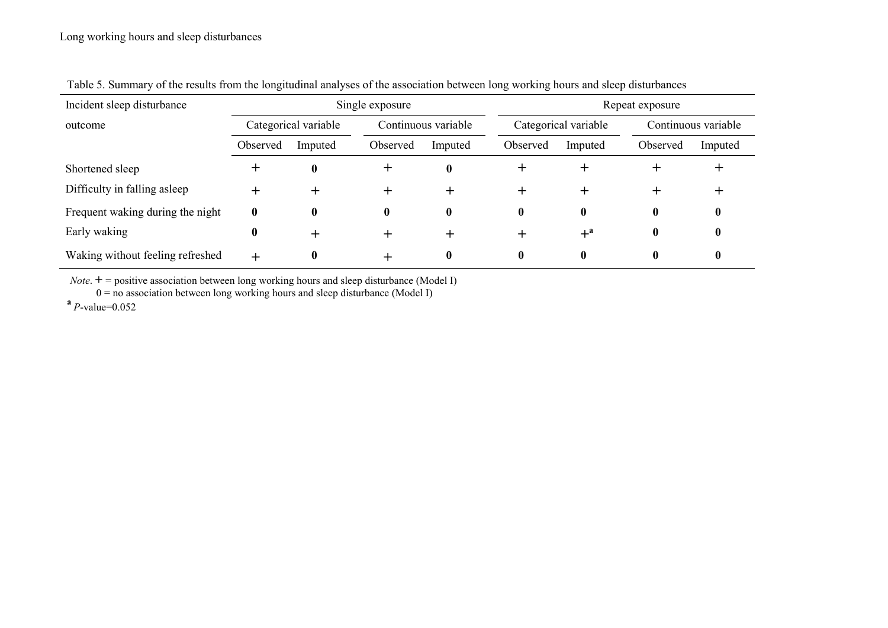| Incident sleep disturbance       | Single exposure      |          |                     |              | Repeat exposure |                      |          |                     |  |
|----------------------------------|----------------------|----------|---------------------|--------------|-----------------|----------------------|----------|---------------------|--|
| outcome                          | Categorical variable |          | Continuous variable |              |                 | Categorical variable |          | Continuous variable |  |
|                                  | Observed             | Imputed  | Observed            | Imputed      | Observed        | Imputed              | Observed | Imputed             |  |
| Shortened sleep                  | ┿                    | $\bf{0}$ |                     | $\mathbf{0}$ |                 |                      |          |                     |  |
| Difficulty in falling asleep     |                      |          |                     |              |                 |                      |          |                     |  |
| Frequent waking during the night | $\mathbf{0}$         | 0        | 0                   | $\mathbf{0}$ |                 | 0                    | 0        |                     |  |
| Early waking                     | $\bf{0}$             |          |                     |              |                 | $+^a$                | $\bf{0}$ |                     |  |
| Waking without feeling refreshed | $+$                  | 0        |                     | $\mathbf{0}$ |                 |                      | 0        |                     |  |

Table 5. Summary of the results from the longitudinal analyses of the association between long working hours and sleep disturbances

*Note*.  $+$  = positive association between long working hours and sleep disturbance (Model I)  $0 =$  no association between long working hours and sleep disturbance (Model I)

**<sup>a</sup>***P*-value=0.052